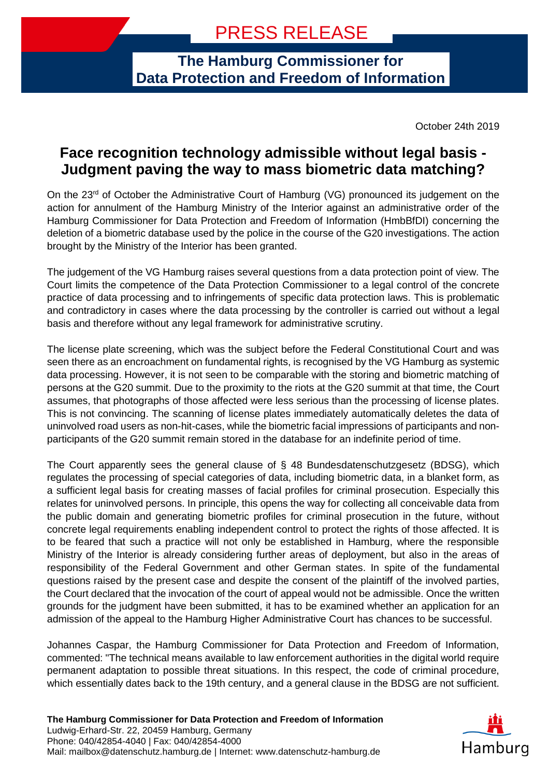## **The Hamburg Commissioner for Data Protection and Freedom of Information**

October 24th 2019

## **Face recognition technology admissible without legal basis - Judgment paving the way to mass biometric data matching?**

On the 23<sup>rd</sup> of October the Administrative Court of Hamburg (VG) pronounced its judgement on the action for annulment of the Hamburg Ministry of the Interior against an administrative order of the Hamburg Commissioner for Data Protection and Freedom of Information (HmbBfDI) concerning the deletion of a biometric database used by the police in the course of the G20 investigations. The action brought by the Ministry of the Interior has been granted.

The judgement of the VG Hamburg raises several questions from a data protection point of view. The Court limits the competence of the Data Protection Commissioner to a legal control of the concrete practice of data processing and to infringements of specific data protection laws. This is problematic and contradictory in cases where the data processing by the controller is carried out without a legal basis and therefore without any legal framework for administrative scrutiny.

The license plate screening, which was the subject before the Federal Constitutional Court and was seen there as an encroachment on fundamental rights, is recognised by the VG Hamburg as systemic data processing. However, it is not seen to be comparable with the storing and biometric matching of persons at the G20 summit. Due to the proximity to the riots at the G20 summit at that time, the Court assumes, that photographs of those affected were less serious than the processing of license plates. This is not convincing. The scanning of license plates immediately automatically deletes the data of uninvolved road users as non-hit-cases, while the biometric facial impressions of participants and nonparticipants of the G20 summit remain stored in the database for an indefinite period of time.

The Court apparently sees the general clause of § 48 Bundesdatenschutzgesetz (BDSG), which regulates the processing of special categories of data, including biometric data, in a blanket form, as a sufficient legal basis for creating masses of facial profiles for criminal prosecution. Especially this relates for uninvolved persons. In principle, this opens the way for collecting all conceivable data from the public domain and generating biometric profiles for criminal prosecution in the future, without concrete legal requirements enabling independent control to protect the rights of those affected. It is to be feared that such a practice will not only be established in Hamburg, where the responsible Ministry of the Interior is already considering further areas of deployment, but also in the areas of responsibility of the Federal Government and other German states. In spite of the fundamental questions raised by the present case and despite the consent of the plaintiff of the involved parties, the Court declared that the invocation of the court of appeal would not be admissible. Once the written grounds for the judgment have been submitted, it has to be examined whether an application for an admission of the appeal to the Hamburg Higher Administrative Court has chances to be successful.

Johannes Caspar, the Hamburg Commissioner for Data Protection and Freedom of Information, commented: "The technical means available to law enforcement authorities in the digital world require permanent adaptation to possible threat situations. In this respect, the code of criminal procedure, which essentially dates back to the 19th century, and a general clause in the BDSG are not sufficient.